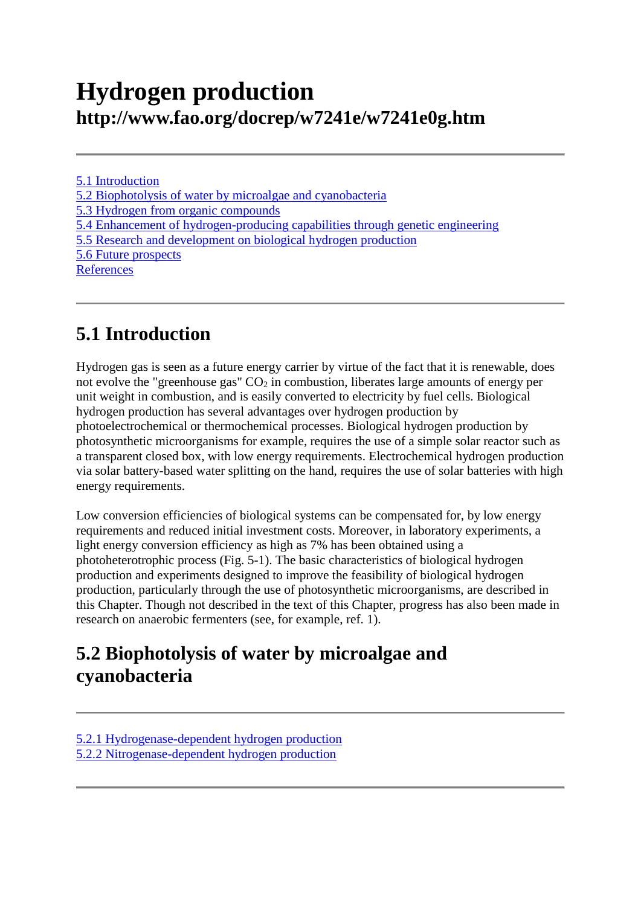# **Hydrogen production http://www.fao.org/docrep/w7241e/w7241e0g.htm**

[5.1 Introduction](http://www.fao.org/docrep/w7241e/w7241e0g.htm#5.1%20introduction) [5.2 Biophotolysis of water by microalgae and cyanobacteria](http://www.fao.org/docrep/w7241e/w7241e0g.htm#5.2%20biophotolysis%20of%20water%20by%20microalgae%20and%20cyanobacteria) [5.3 Hydrogen from organic compounds](http://www.fao.org/docrep/w7241e/w7241e0g.htm#5.3%20hydrogen%20from%20organic%20compounds) [5.4 Enhancement of hydrogen-producing capabilities through genetic engineering](http://www.fao.org/docrep/w7241e/w7241e0g.htm#5.4%20enhancement%20of%20hydrogen%20producing%20capabilities%20through%20genetic%20engineering) [5.5 Research and development on biological hydrogen production](http://www.fao.org/docrep/w7241e/w7241e0g.htm#5.5%20research%20and%20development%20on%20biological%20hydrogen%20production) [5.6 Future prospects](http://www.fao.org/docrep/w7241e/w7241e0g.htm#5.6%20future%20prospects) **[References](http://www.fao.org/docrep/w7241e/w7241e0g.htm#references)** 

# **5.1 Introduction**

Hydrogen gas is seen as a future energy carrier by virtue of the fact that it is renewable, does not evolve the "greenhouse gas"  $CO<sub>2</sub>$  in combustion, liberates large amounts of energy per unit weight in combustion, and is easily converted to electricity by fuel cells. Biological hydrogen production has several advantages over hydrogen production by photoelectrochemical or thermochemical processes. Biological hydrogen production by photosynthetic microorganisms for example, requires the use of a simple solar reactor such as a transparent closed box, with low energy requirements. Electrochemical hydrogen production via solar battery-based water splitting on the hand, requires the use of solar batteries with high energy requirements.

Low conversion efficiencies of biological systems can be compensated for, by low energy requirements and reduced initial investment costs. Moreover, in laboratory experiments, a light energy conversion efficiency as high as 7% has been obtained using a photoheterotrophic process (Fig. 5-1). The basic characteristics of biological hydrogen production and experiments designed to improve the feasibility of biological hydrogen production, particularly through the use of photosynthetic microorganisms, are described in this Chapter. Though not described in the text of this Chapter, progress has also been made in research on anaerobic fermenters (see, for example, ref. 1).

# **5.2 Biophotolysis of water by microalgae and cyanobacteria**

[5.2.1 Hydrogenase-dependent hydrogen production](http://www.fao.org/docrep/w7241e/w7241e0g.htm#5.2.1%20hydrogenase%20dependent%20hydrogen%20production) [5.2.2 Nitrogenase-dependent hydrogen production](http://www.fao.org/docrep/w7241e/w7241e0g.htm#5.2.2%20nitrogenase%20dependent%20hydrogen%20production)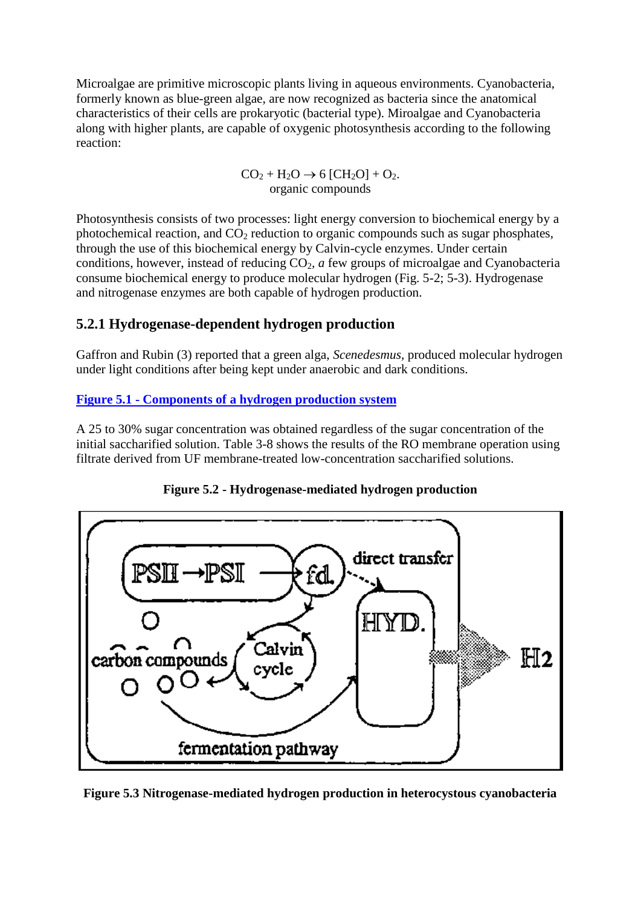Microalgae are primitive microscopic plants living in aqueous environments. Cyanobacteria, formerly known as blue-green algae, are now recognized as bacteria since the anatomical characteristics of their cells are prokaryotic (bacterial type). Miroalgae and Cyanobacteria along with higher plants, are capable of oxygenic photosynthesis according to the following reaction:

> $CO<sub>2</sub> + H<sub>2</sub>O \rightarrow 6 [CH<sub>2</sub>O] + O<sub>2</sub>.$ organic compounds

Photosynthesis consists of two processes: light energy conversion to biochemical energy by a photochemical reaction, and  $CO<sub>2</sub>$  reduction to organic compounds such as sugar phosphates, through the use of this biochemical energy by Calvin-cycle enzymes. Under certain conditions, however, instead of reducing CO2*, a* few groups of microalgae and Cyanobacteria consume biochemical energy to produce molecular hydrogen (Fig. 5-2; 5-3). Hydrogenase and nitrogenase enzymes are both capable of hydrogen production.

### **5.2.1 Hydrogenase-dependent hydrogen production**

Gaffron and Rubin (3) reported that a green alga, *Scenedesmus,* produced molecular hydrogen under light conditions after being kept under anaerobic and dark conditions.

#### **Figure 5.1 - [Components of a hydrogen production system](http://www.fao.org/docrep/w7241e/w7241e0w.gif)**

A 25 to 30% sugar concentration was obtained regardless of the sugar concentration of the initial saccharified solution. Table 3-8 shows the results of the RO membrane operation using filtrate derived from UF membrane-treated low-concentration saccharified solutions.





**Figure 5.3 Nitrogenase-mediated hydrogen production in heterocystous cyanobacteria**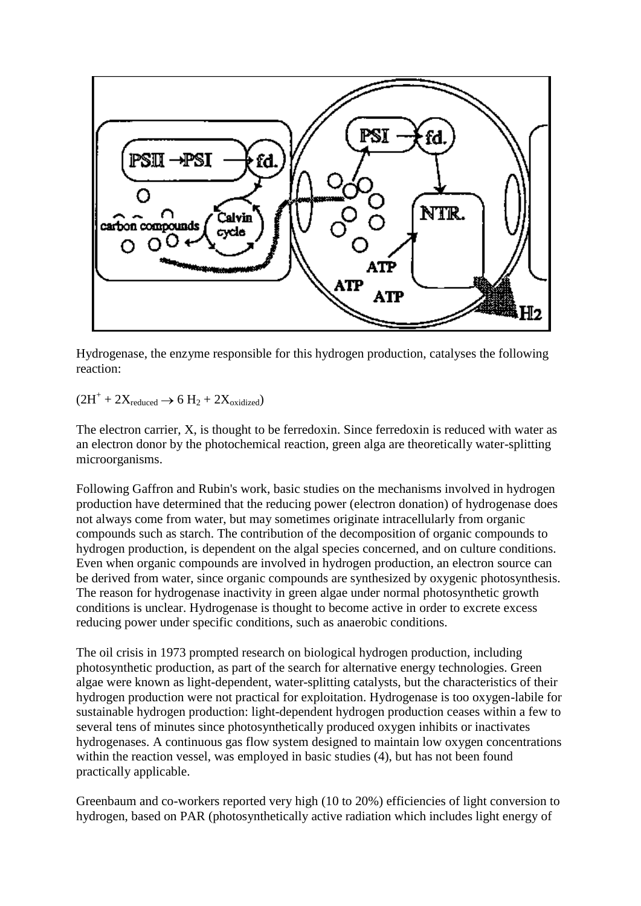

Hydrogenase, the enzyme responsible for this hydrogen production, catalyses the following reaction:

 $(2H^+ + 2X_{reduced} \rightarrow 6 H_2 + 2X_{oxidized})$ 

The electron carrier, X, is thought to be ferredoxin. Since ferredoxin is reduced with water as an electron donor by the photochemical reaction, green alga are theoretically water-splitting microorganisms.

Following Gaffron and Rubin's work, basic studies on the mechanisms involved in hydrogen production have determined that the reducing power (electron donation) of hydrogenase does not always come from water, but may sometimes originate intracellularly from organic compounds such as starch. The contribution of the decomposition of organic compounds to hydrogen production, is dependent on the algal species concerned, and on culture conditions. Even when organic compounds are involved in hydrogen production, an electron source can be derived from water, since organic compounds are synthesized by oxygenic photosynthesis. The reason for hydrogenase inactivity in green algae under normal photosynthetic growth conditions is unclear. Hydrogenase is thought to become active in order to excrete excess reducing power under specific conditions, such as anaerobic conditions.

The oil crisis in 1973 prompted research on biological hydrogen production, including photosynthetic production, as part of the search for alternative energy technologies. Green algae were known as light-dependent, water-splitting catalysts, but the characteristics of their hydrogen production were not practical for exploitation. Hydrogenase is too oxygen-labile for sustainable hydrogen production: light-dependent hydrogen production ceases within a few to several tens of minutes since photosynthetically produced oxygen inhibits or inactivates hydrogenases. A continuous gas flow system designed to maintain low oxygen concentrations within the reaction vessel, was employed in basic studies (4), but has not been found practically applicable.

Greenbaum and co-workers reported very high (10 to 20%) efficiencies of light conversion to hydrogen, based on PAR (photosynthetically active radiation which includes light energy of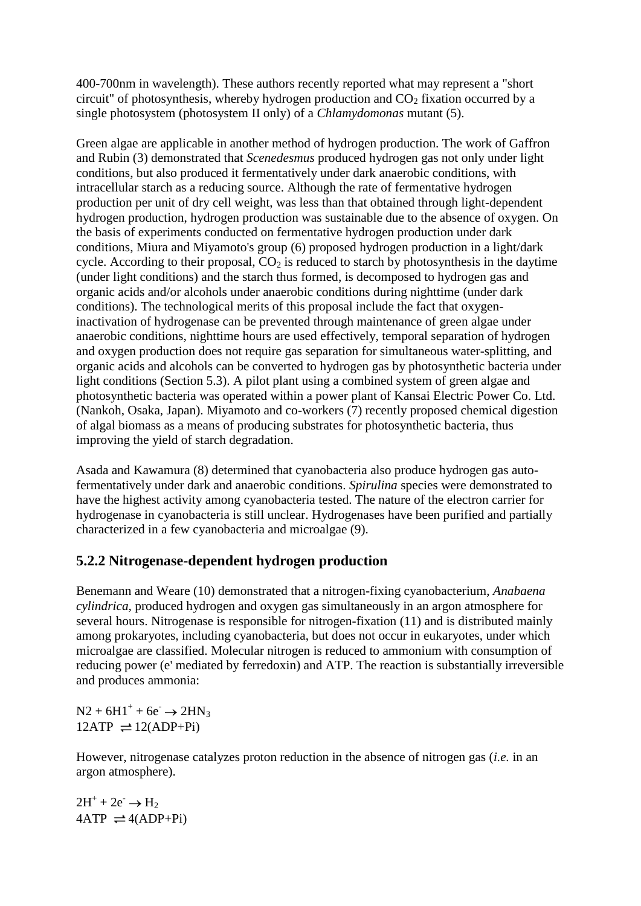400-700nm in wavelength). These authors recently reported what may represent a "short circuit" of photosynthesis, whereby hydrogen production and  $CO<sub>2</sub>$  fixation occurred by a single photosystem (photosystem II only) of a *Chlamydomonas* mutant (5).

Green algae are applicable in another method of hydrogen production. The work of Gaffron and Rubin (3) demonstrated that *Scenedesmus* produced hydrogen gas not only under light conditions, but also produced it fermentatively under dark anaerobic conditions, with intracellular starch as a reducing source. Although the rate of fermentative hydrogen production per unit of dry cell weight, was less than that obtained through light-dependent hydrogen production, hydrogen production was sustainable due to the absence of oxygen. On the basis of experiments conducted on fermentative hydrogen production under dark conditions, Miura and Miyamoto's group (6) proposed hydrogen production in a light/dark cycle. According to their proposal,  $CO<sub>2</sub>$  is reduced to starch by photosynthesis in the daytime (under light conditions) and the starch thus formed, is decomposed to hydrogen gas and organic acids and/or alcohols under anaerobic conditions during nighttime (under dark conditions). The technological merits of this proposal include the fact that oxygeninactivation of hydrogenase can be prevented through maintenance of green algae under anaerobic conditions, nighttime hours are used effectively, temporal separation of hydrogen and oxygen production does not require gas separation for simultaneous water-splitting, and organic acids and alcohols can be converted to hydrogen gas by photosynthetic bacteria under light conditions (Section 5.3). A pilot plant using a combined system of green algae and photosynthetic bacteria was operated within a power plant of Kansai Electric Power Co. Ltd. (Nankoh, Osaka, Japan). Miyamoto and co-workers (7) recently proposed chemical digestion of algal biomass as a means of producing substrates for photosynthetic bacteria, thus improving the yield of starch degradation.

Asada and Kawamura (8) determined that cyanobacteria also produce hydrogen gas autofermentatively under dark and anaerobic conditions. *Spirulina* species were demonstrated to have the highest activity among cyanobacteria tested. The nature of the electron carrier for hydrogenase in cyanobacteria is still unclear. Hydrogenases have been purified and partially characterized in a few cyanobacteria and microalgae (9).

### **5.2.2 Nitrogenase-dependent hydrogen production**

Benemann and Weare (10) demonstrated that a nitrogen-fixing cyanobacterium, *Anabaena cylindrica,* produced hydrogen and oxygen gas simultaneously in an argon atmosphere for several hours. Nitrogenase is responsible for nitrogen-fixation (11) and is distributed mainly among prokaryotes, including cyanobacteria, but does not occur in eukaryotes, under which microalgae are classified. Molecular nitrogen is reduced to ammonium with consumption of reducing power (e' mediated by ferredoxin) and ATP. The reaction is substantially irreversible and produces ammonia:

 $N2 + 6H1^+ + 6e^- \rightarrow 2HN_3$  $12ATP \rightleftharpoons 12(ADP+Pi)$ 

However, nitrogenase catalyzes proton reduction in the absence of nitrogen gas (*i.e.* in an argon atmosphere).

 $2H^{+} + 2e^{-} \rightarrow H_{2}$  $4ATP \rightleftharpoons 4(ADP+Pi)$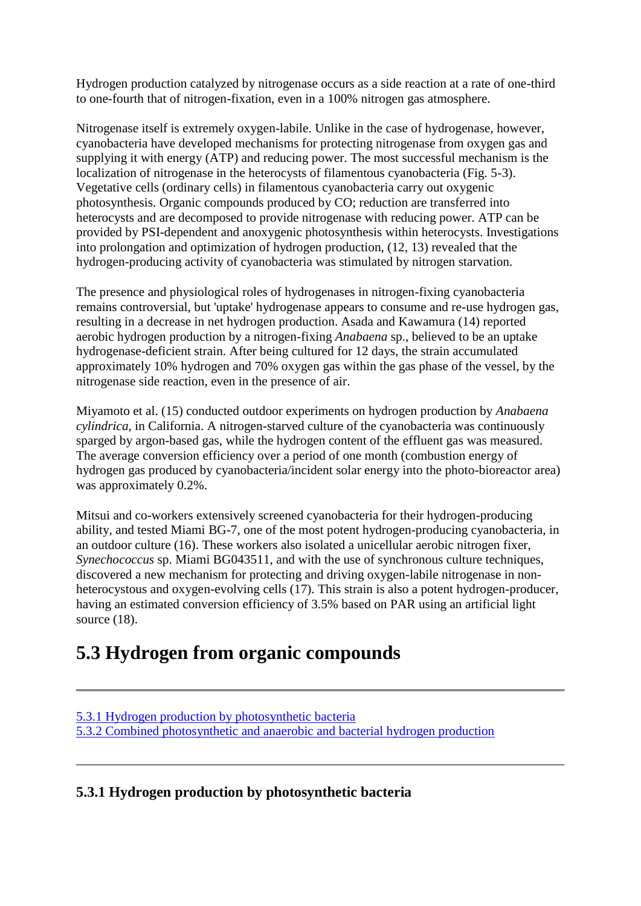Hydrogen production catalyzed by nitrogenase occurs as a side reaction at a rate of one-third to one-fourth that of nitrogen-fixation, even in a 100% nitrogen gas atmosphere.

Nitrogenase itself is extremely oxygen-labile. Unlike in the case of hydrogenase, however, cyanobacteria have developed mechanisms for protecting nitrogenase from oxygen gas and supplying it with energy (ATP) and reducing power. The most successful mechanism is the localization of nitrogenase in the heterocysts of filamentous cyanobacteria (Fig. 5-3). Vegetative cells (ordinary cells) in filamentous cyanobacteria carry out oxygenic photosynthesis. Organic compounds produced by CO; reduction are transferred into heterocysts and are decomposed to provide nitrogenase with reducing power. ATP can be provided by PSI-dependent and anoxygenic photosynthesis within heterocysts. Investigations into prolongation and optimization of hydrogen production, (12, 13) revealed that the hydrogen-producing activity of cyanobacteria was stimulated by nitrogen starvation.

The presence and physiological roles of hydrogenases in nitrogen-fixing cyanobacteria remains controversial, but 'uptake' hydrogenase appears to consume and re-use hydrogen gas, resulting in a decrease in net hydrogen production. Asada and Kawamura (14) reported aerobic hydrogen production by a nitrogen-fixing *Anabaena* sp., believed to be an uptake hydrogenase-deficient strain. After being cultured for 12 days, the strain accumulated approximately 10% hydrogen and 70% oxygen gas within the gas phase of the vessel, by the nitrogenase side reaction, even in the presence of air.

Miyamoto et al. (15) conducted outdoor experiments on hydrogen production by *Anabaena cylindrica,* in California. A nitrogen-starved culture of the cyanobacteria was continuously sparged by argon-based gas, while the hydrogen content of the effluent gas was measured. The average conversion efficiency over a period of one month (combustion energy of hydrogen gas produced by cyanobacteria/incident solar energy into the photo-bioreactor area) was approximately 0.2%.

Mitsui and co-workers extensively screened cyanobacteria for their hydrogen-producing ability, and tested Miami BG-7, one of the most potent hydrogen-producing cyanobacteria, in an outdoor culture (16). These workers also isolated a unicellular aerobic nitrogen fixer, *Synechococcus* sp. Miami BG043511, and with the use of synchronous culture techniques, discovered a new mechanism for protecting and driving oxygen-labile nitrogenase in nonheterocystous and oxygen-evolving cells (17). This strain is also a potent hydrogen-producer, having an estimated conversion efficiency of 3.5% based on PAR using an artificial light source  $(18)$ .

### **5.3 Hydrogen from organic compounds**

5.3.1 [Hydrogen production by photosynthetic bacteria](http://www.fao.org/docrep/w7241e/w7241e0g.htm#5.3.1%20hydrogen%20production%20by%20photosynthetic%20bacteria) [5.3.2 Combined photosynthetic and anaerobic and bacterial hydrogen production](http://www.fao.org/docrep/w7241e/w7241e0g.htm#5.3.2%20combined%20photosynthetic%20and%20anaerobic%20and%20bacterial%20hydrogen%20production)

### **5.3.1 Hydrogen production by photosynthetic bacteria**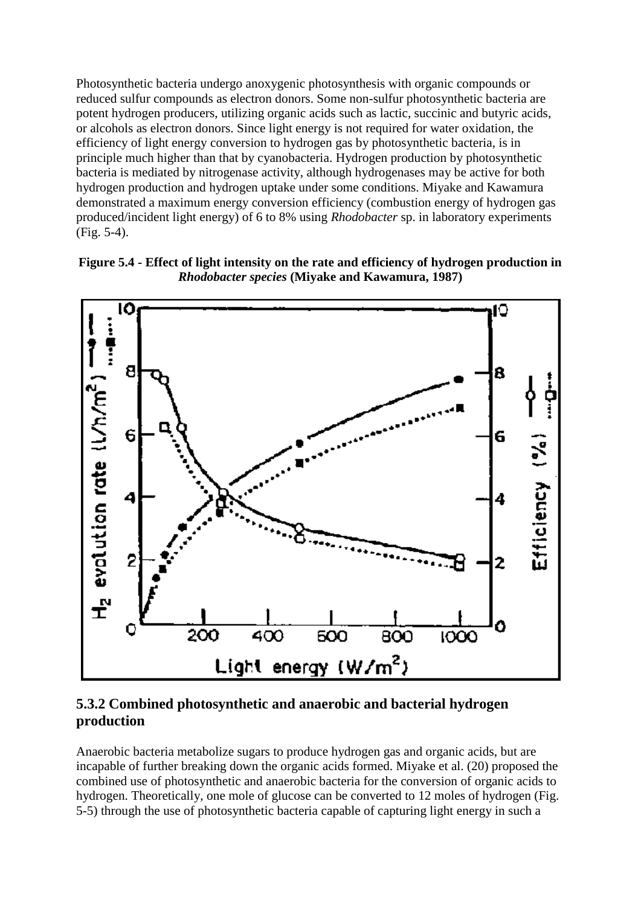Photosynthetic bacteria undergo anoxygenic photosynthesis with organic compounds or reduced sulfur compounds as electron donors. Some non-sulfur photosynthetic bacteria are potent hydrogen producers, utilizing organic acids such as lactic, succinic and butyric acids, or alcohols as electron donors. Since light energy is not required for water oxidation, the efficiency of light energy conversion to hydrogen gas by photosynthetic bacteria, is in principle much higher than that by cyanobacteria. Hydrogen production by photosynthetic bacteria is mediated by nitrogenase activity, although hydrogenases may be active for both hydrogen production and hydrogen uptake under some conditions. Miyake and Kawamura demonstrated a maximum energy conversion efficiency (combustion energy of hydrogen gas produced/incident light energy) of 6 to 8% using *Rhodobacter* sp. in laboratory experiments (Fig. 5-4).

**Figure 5.4 - Effect of light intensity on the rate and efficiency of hydrogen production in**  *Rhodobacter species* **(Miyake and Kawamura, 1987)**



**5.3.2 Combined photosynthetic and anaerobic and bacterial hydrogen production**

Anaerobic bacteria metabolize sugars to produce hydrogen gas and organic acids, but are incapable of further breaking down the organic acids formed. Miyake et al. (20) proposed the combined use of photosynthetic and anaerobic bacteria for the conversion of organic acids to hydrogen. Theoretically, one mole of glucose can be converted to 12 moles of hydrogen (Fig. 5-5) through the use of photosynthetic bacteria capable of capturing light energy in such a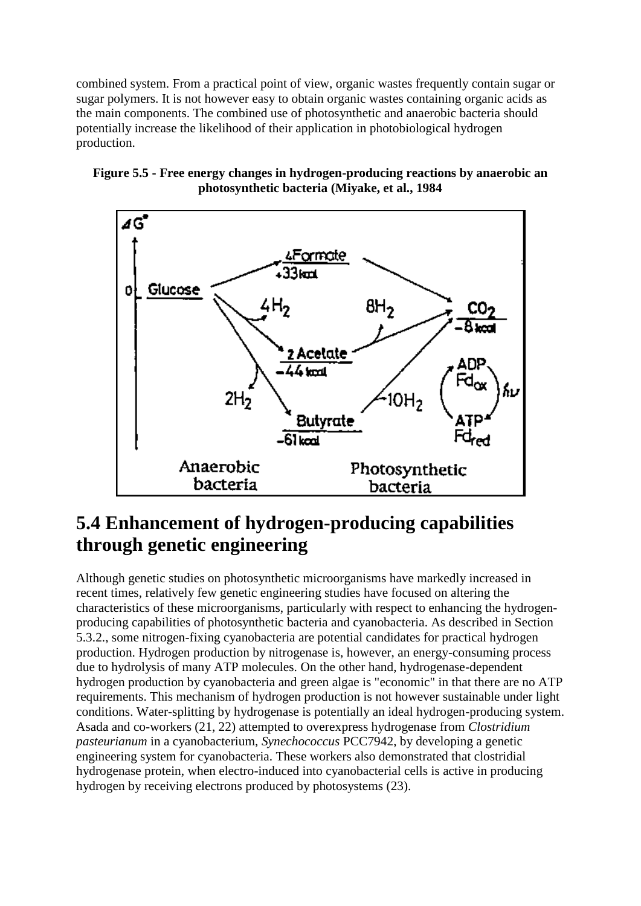combined system. From a practical point of view, organic wastes frequently contain sugar or sugar polymers. It is not however easy to obtain organic wastes containing organic acids as the main components. The combined use of photosynthetic and anaerobic bacteria should potentially increase the likelihood of their application in photobiological hydrogen production.





### **5.4 Enhancement of hydrogen-producing capabilities through genetic engineering**

Although genetic studies on photosynthetic microorganisms have markedly increased in recent times, relatively few genetic engineering studies have focused on altering the characteristics of these microorganisms, particularly with respect to enhancing the hydrogenproducing capabilities of photosynthetic bacteria and cyanobacteria. As described in Section 5.3.2., some nitrogen-fixing cyanobacteria are potential candidates for practical hydrogen production. Hydrogen production by nitrogenase is, however, an energy-consuming process due to hydrolysis of many ATP molecules. On the other hand, hydrogenase-dependent hydrogen production by cyanobacteria and green algae is "economic" in that there are no ATP requirements. This mechanism of hydrogen production is not however sustainable under light conditions. Water-splitting by hydrogenase is potentially an ideal hydrogen-producing system. Asada and co-workers (21, 22) attempted to overexpress hydrogenase from *Clostridium pasteurianum* in a cyanobacterium, *Synechococcus* PCC7942, by developing a genetic engineering system for cyanobacteria. These workers also demonstrated that clostridial hydrogenase protein, when electro-induced into cyanobacterial cells is active in producing hydrogen by receiving electrons produced by photosystems (23).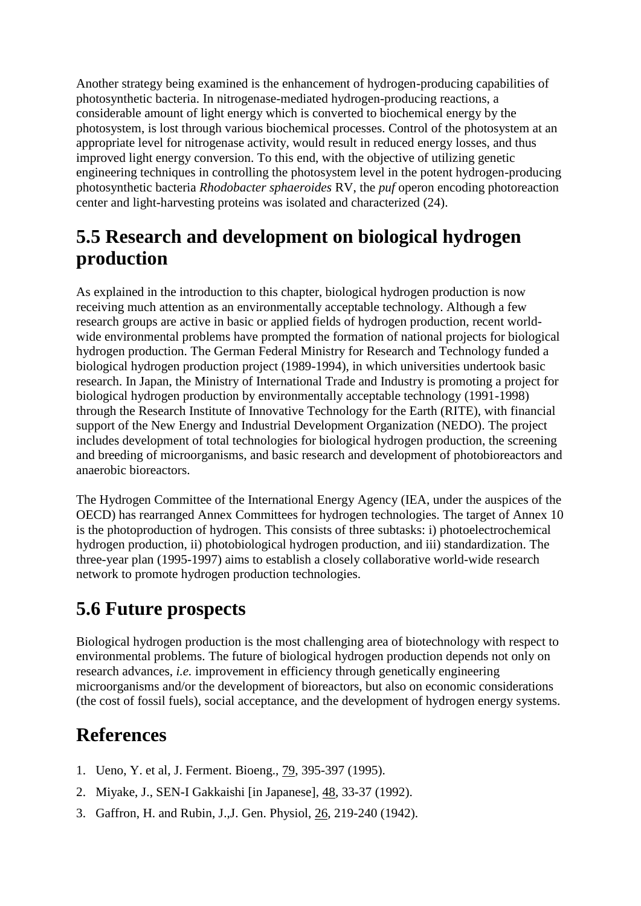Another strategy being examined is the enhancement of hydrogen-producing capabilities of photosynthetic bacteria. In nitrogenase-mediated hydrogen-producing reactions, a considerable amount of light energy which is converted to biochemical energy by the photosystem, is lost through various biochemical processes. Control of the photosystem at an appropriate level for nitrogenase activity, would result in reduced energy losses, and thus improved light energy conversion. To this end, with the objective of utilizing genetic engineering techniques in controlling the photosystem level in the potent hydrogen-producing photosynthetic bacteria *Rhodobacter sphaeroides* RV, the *puf* operon encoding photoreaction center and light-harvesting proteins was isolated and characterized (24).

# **5.5 Research and development on biological hydrogen production**

As explained in the introduction to this chapter, biological hydrogen production is now receiving much attention as an environmentally acceptable technology. Although a few research groups are active in basic or applied fields of hydrogen production, recent worldwide environmental problems have prompted the formation of national projects for biological hydrogen production. The German Federal Ministry for Research and Technology funded a biological hydrogen production project (1989-1994), in which universities undertook basic research. In Japan, the Ministry of International Trade and Industry is promoting a project for biological hydrogen production by environmentally acceptable technology (1991-1998) through the Research Institute of Innovative Technology for the Earth (RITE), with financial support of the New Energy and Industrial Development Organization (NEDO). The project includes development of total technologies for biological hydrogen production, the screening and breeding of microorganisms, and basic research and development of photobioreactors and anaerobic bioreactors.

The Hydrogen Committee of the International Energy Agency (IEA, under the auspices of the OECD) has rearranged Annex Committees for hydrogen technologies. The target of Annex 10 is the photoproduction of hydrogen. This consists of three subtasks: i) photoelectrochemical hydrogen production, ii) photobiological hydrogen production, and iii) standardization. The three-year plan (1995-1997) aims to establish a closely collaborative world-wide research network to promote hydrogen production technologies.

### **5.6 Future prospects**

Biological hydrogen production is the most challenging area of biotechnology with respect to environmental problems. The future of biological hydrogen production depends not only on research advances, *i.e.* improvement in efficiency through genetically engineering microorganisms and/or the development of bioreactors, but also on economic considerations (the cost of fossil fuels), social acceptance, and the development of hydrogen energy systems.

# **References**

- 1. Ueno, Y. et al, J. Ferment. Bioeng., 79, 395-397 (1995).
- 2. Miyake, J., SEN-I Gakkaishi [in Japanese], 48, 33-37 (1992).
- 3. Gaffron, H. and Rubin, J.,J. Gen. Physiol, 26, 219-240 (1942).